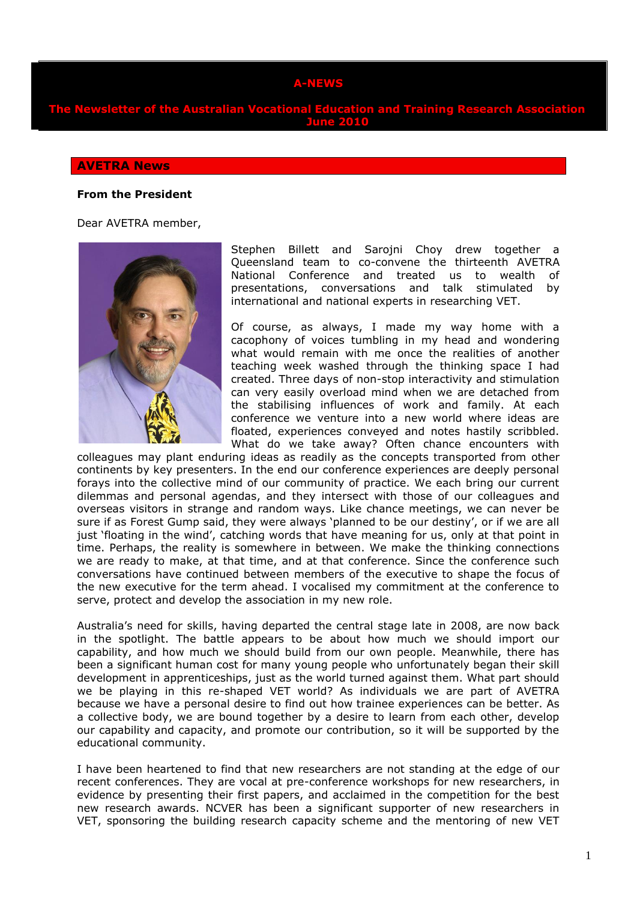# **A-NEV**

**Newsletter of the Australian Vocational Education and Training Research Association June 2010**

#### **AVETRA News**

#### **From the President**

Dear AVETRA member,



Stephen Billett and Sarojni Choy drew together a Queensland team to co-convene the thirteenth AVETRA National Conference and treated us to wealth of presentations, conversations and talk stimulated by international and national experts in researching VET.

Of course, as always, I made my way home with a cacophony of voices tumbling in my head and wondering what would remain with me once the realities of another teaching week washed through the thinking space I had created. Three days of non-stop interactivity and stimulation can very easily overload mind when we are detached from the stabilising influences of work and family. At each conference we venture into a new world where ideas are floated, experiences conveyed and notes hastily scribbled. What do we take away? Often chance encounters with

colleagues may plant enduring ideas as readily as the concepts transported from other continents by key presenters. In the end our conference experiences are deeply personal forays into the collective mind of our community of practice. We each bring our current dilemmas and personal agendas, and they intersect with those of our colleagues and overseas visitors in strange and random ways. Like chance meetings, we can never be sure if as Forest Gump said, they were always 'planned to be our destiny', or if we are all just 'floating in the wind', catching words that have meaning for us, only at that point in time. Perhaps, the reality is somewhere in between. We make the thinking connections we are ready to make, at that time, and at that conference. Since the conference such conversations have continued between members of the executive to shape the focus of the new executive for the term ahead. I vocalised my commitment at the conference to serve, protect and develop the association in my new role.

Australia's need for skills, having departed the central stage late in 2008, are now back in the spotlight. The battle appears to be about how much we should import our capability, and how much we should build from our own people. Meanwhile, there has been a significant human cost for many young people who unfortunately began their skill development in apprenticeships, just as the world turned against them. What part should we be playing in this re-shaped VET world? As individuals we are part of AVETRA because we have a personal desire to find out how trainee experiences can be better. As a collective body, we are bound together by a desire to learn from each other, develop our capability and capacity, and promote our contribution, so it will be supported by the educational community.

I have been heartened to find that new researchers are not standing at the edge of our recent conferences. They are vocal at pre-conference workshops for new researchers, in evidence by presenting their first papers, and acclaimed in the competition for the best new research awards. NCVER has been a significant supporter of new researchers in VET, sponsoring the building research capacity scheme and the mentoring of new VET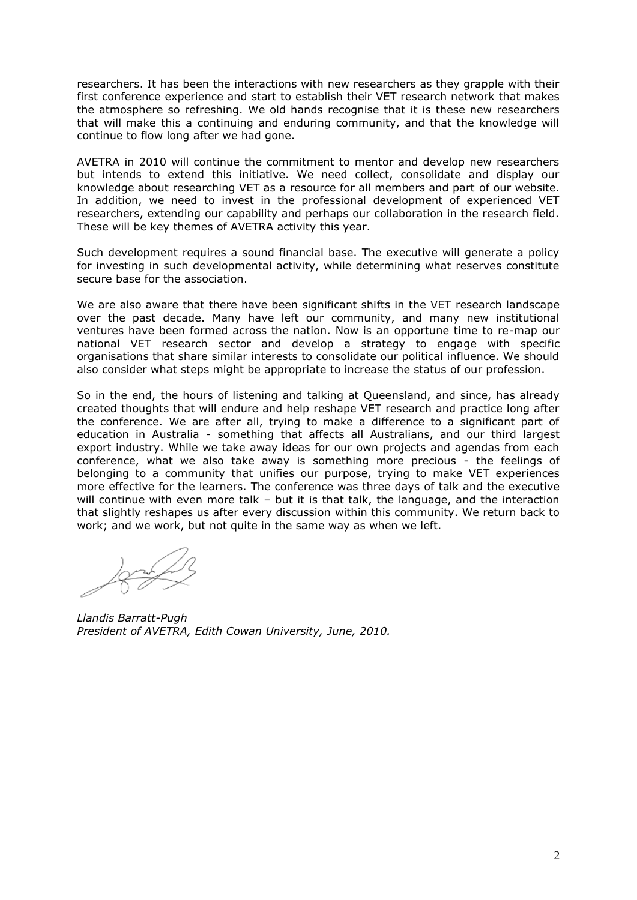researchers. It has been the interactions with new researchers as they grapple with their first conference experience and start to establish their VET research network that makes the atmosphere so refreshing. We old hands recognise that it is these new researchers that will make this a continuing and enduring community, and that the knowledge will continue to flow long after we had gone.

AVETRA in 2010 will continue the commitment to mentor and develop new researchers but intends to extend this initiative. We need collect, consolidate and display our knowledge about researching VET as a resource for all members and part of our website. In addition, we need to invest in the professional development of experienced VET researchers, extending our capability and perhaps our collaboration in the research field. These will be key themes of AVETRA activity this year.

Such development requires a sound financial base. The executive will generate a policy for investing in such developmental activity, while determining what reserves constitute secure base for the association.

We are also aware that there have been significant shifts in the VET research landscape over the past decade. Many have left our community, and many new institutional ventures have been formed across the nation. Now is an opportune time to re-map our national VET research sector and develop a strategy to engage with specific organisations that share similar interests to consolidate our political influence. We should also consider what steps might be appropriate to increase the status of our profession.

So in the end, the hours of listening and talking at Queensland, and since, has already created thoughts that will endure and help reshape VET research and practice long after the conference. We are after all, trying to make a difference to a significant part of education in Australia - something that affects all Australians, and our third largest export industry. While we take away ideas for our own projects and agendas from each conference, what we also take away is something more precious - the feelings of belonging to a community that unifies our purpose, trying to make VET experiences more effective for the learners. The conference was three days of talk and the executive will continue with even more talk – but it is that talk, the language, and the interaction that slightly reshapes us after every discussion within this community. We return back to work; and we work, but not quite in the same way as when we left.

*Llandis Barratt-Pugh President of AVETRA, Edith Cowan University, June, 2010.*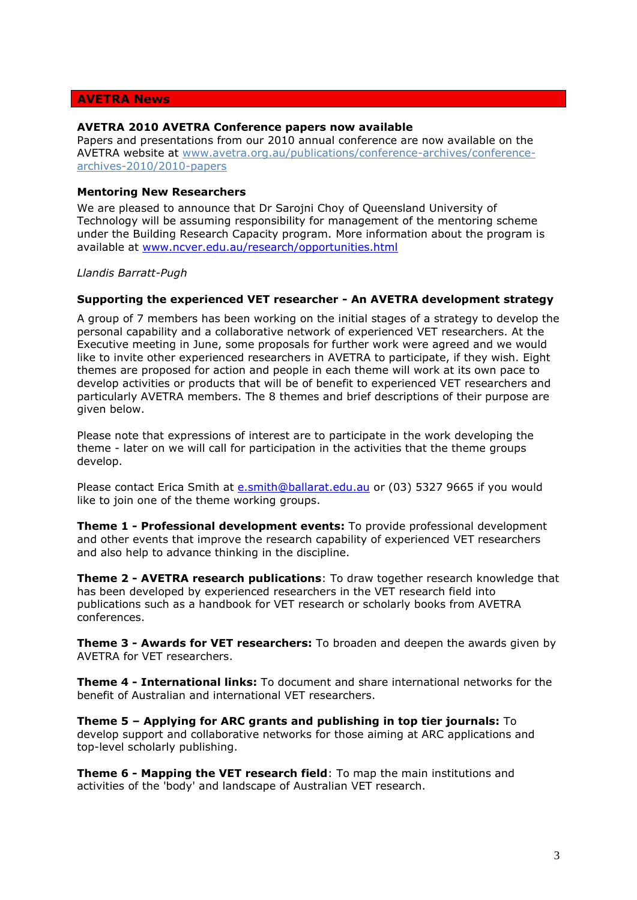# **AVETRA News**

#### **AVETRA 2010 AVETRA Conference papers now available**

Papers and presentations from our 2010 annual conference are now available on the AVETRA website at [www.avetra.org.au/publications/conference-archives/conference](http://www.avetra.org.au/publications/conference-archives/conference-archives-2010/2010-papers)[archives-2010/2010-papers](http://www.avetra.org.au/publications/conference-archives/conference-archives-2010/2010-papers) 

#### **Mentoring New Researchers**

We are pleased to announce that Dr Sarojni Choy of Queensland University of Technology will be assuming responsibility for management of the mentoring scheme under the Building Research Capacity program. More information about the program is available at [www.ncver.edu.au/research/opportunities.html](http://www.ncver.edu.au/research/opportunities.html)

*Llandis Barratt-Pugh*

#### **Supporting the experienced VET researcher - An AVETRA development strategy**

A group of 7 members has been working on the initial stages of a strategy to develop the personal capability and a collaborative network of experienced VET researchers. At the Executive meeting in June, some proposals for further work were agreed and we would like to invite other experienced researchers in AVETRA to participate, if they wish. Eight themes are proposed for action and people in each theme will work at its own pace to develop activities or products that will be of benefit to experienced VET researchers and particularly AVETRA members. The 8 themes and brief descriptions of their purpose are given below.

Please note that expressions of interest are to participate in the work developing the theme - later on we will call for participation in the activities that the theme groups develop.

Please contact Erica Smith at [e.smith@ballarat.edu.au](mailto:e.smith@ballarat.edu.au) or (03) 5327 9665 if you would like to join one of the theme working groups.

**Theme 1 - Professional development events:** To provide professional development and other events that improve the research capability of experienced VET researchers and also help to advance thinking in the discipline.

**Theme 2 - AVETRA research publications**: To draw together research knowledge that has been developed by experienced researchers in the VET research field into publications such as a handbook for VET research or scholarly books from AVETRA conferences.

**Theme 3 - Awards for VET researchers:** To broaden and deepen the awards given by AVETRA for VET researchers.

**Theme 4 - International links:** To document and share international networks for the benefit of Australian and international VET researchers.

**Theme 5 – Applying for ARC grants and publishing in top tier journals:** To develop support and collaborative networks for those aiming at ARC applications and top-level scholarly publishing.

**Theme 6 - Mapping the VET research field**: To map the main institutions and activities of the 'body' and landscape of Australian VET research.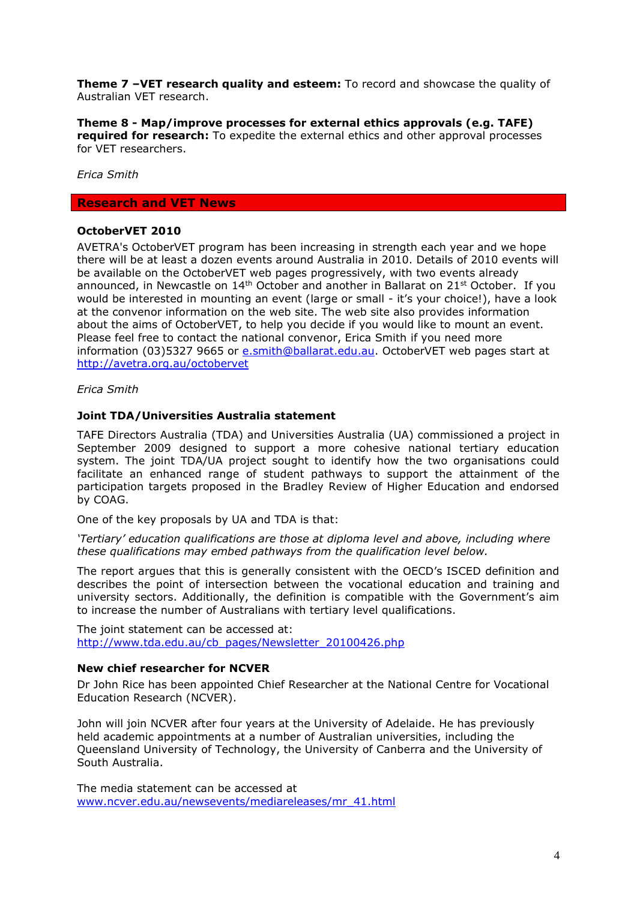**Theme 7 –VET research quality and esteem:** To record and showcase the quality of Australian VET research.

**Theme 8 - Map/improve processes for external ethics approvals (e.g. TAFE) required for research:** To expedite the external ethics and other approval processes for VET researchers.

*Erica Smith*

**Research and VET News**

#### **OctoberVET 2010**

AVETRA's OctoberVET program has been increasing in strength each year and we hope there will be at least a dozen events around Australia in 2010. Details of 2010 events will be available on the OctoberVET web pages progressively, with two events already announced, in Newcastle on  $14<sup>th</sup>$  October and another in Ballarat on  $21<sup>st</sup>$  October. If you would be interested in mounting an event (large or small - it's your choice!), have a look at the convenor information on the web site. The web site also provides information about the aims of OctoberVET, to help you decide if you would like to mount an event. Please feel free to contact the national convenor, Erica Smith if you need more information (03)5327 9665 or [e.smith@ballarat.edu.au.](mailto:e.smith@ballarat.edu.au) OctoberVET web pages start at <http://avetra.org.au/octobervet>

*Erica Smith*

# **Joint TDA/Universities Australia statement**

TAFE Directors Australia (TDA) and Universities Australia (UA) commissioned a project in September 2009 designed to support a more cohesive national tertiary education system. The joint TDA/UA project sought to identify how the two organisations could facilitate an enhanced range of student pathways to support the attainment of the participation targets proposed in the Bradley Review of Higher Education and endorsed by COAG.

One of the key proposals by UA and TDA is that:

*'Tertiary' education qualifications are those at diploma level and above, including where these qualifications may embed pathways from the qualification level below.*

The report argues that this is generally consistent with the OECD's ISCED definition and describes the point of intersection between the vocational education and training and university sectors. Additionally, the definition is compatible with the Government's aim to increase the number of Australians with tertiary level qualifications.

The joint statement can be accessed at: [http://www.tda.edu.au/cb\\_pages/Newsletter\\_20100426.php](http://www.tda.edu.au/cb_pages/Newsletter_20100426.php)

### **New chief researcher for NCVER**

Dr John Rice has been appointed Chief Researcher at the National Centre for Vocational Education Research (NCVER).

John will join NCVER after four years at the University of Adelaide. He has previously held academic appointments at a number of Australian universities, including the Queensland University of Technology, the University of Canberra and the University of South Australia.

The media statement can be accessed at [www.ncver.edu.au/newsevents/mediareleases/mr\\_41.html](http://www.ncver.edu.au/newsevents/mediareleases/mr_41.html)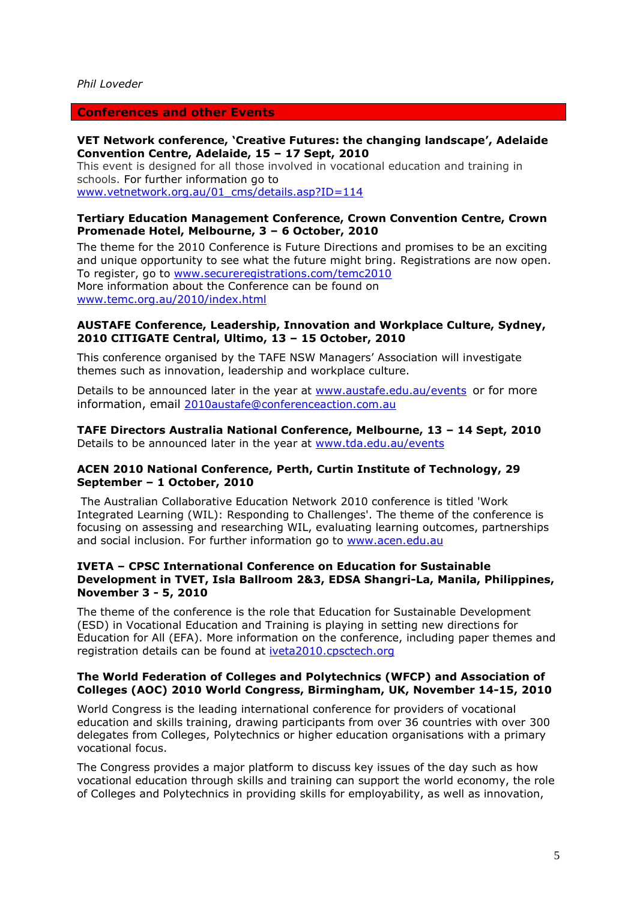# **Conferences and other Events**

#### **VET Network conference, 'Creative Futures: the changing landscape', Adelaide Convention Centre, Adelaide, 15 – 17 Sept, 2010**

This event is designed for all those involved in vocational education and training in schools. For further information go to [www.vetnetwork.org.au/01\\_cms/details.asp?ID=114](http://www.vetnetwork.org.au/01_cms/details.asp?ID=114)

# **Tertiary Education Management Conference, Crown Convention Centre, Crown Promenade Hotel, Melbourne, 3 – 6 October, 2010**

The theme for the 2010 Conference is Future Directions and promises to be an exciting and unique opportunity to see what the future might bring. Registrations are now open. To register, go to [www.secureregistrations.com/temc2010](http://www.secureregistrations.com/temc2010) More information about the Conference can be found on [www.temc.org.au/2010/index.html](http://www.temc.org.au/2010/index.html)

### **AUSTAFE Conference, Leadership, Innovation and Workplace Culture, Sydney, 2010 CITIGATE Central, Ultimo, 13 – 15 October, 2010**

This conference organised by the TAFE NSW Managers' Association will investigate themes such as innovation, leadership and workplace culture.

Details to be announced later in the year at [www.austafe.edu.au/events](http://www.austafe.edu.au/events) or for more information, email [2010austafe@conferenceaction.com.au](mailto:2010austafe@conferenceaction.com.au) 

**TAFE Directors Australia National Conference, Melbourne, 13 – 14 Sept, 2010** Details to be announced later in the year at [www.tda.edu.au/events](http://www.tda.edu.au/events)

### **[ACEN 2010 National Conference,](http://www.acen.edu.au/) Perth, Curtin Institute of Technology, 29 September – 1 October, 2010**

The Australian Collaborative Education Network 2010 conference is titled 'Work Integrated Learning (WIL): Responding to Challenges'. The theme of the conference is focusing on assessing and researching WIL, evaluating learning outcomes, partnerships and social inclusion. For further information go to [www.acen.edu.au](http://www.acen.edu.au/) 

#### **IVETA – CPSC International Conference on Education for Sustainable Development in TVET, Isla Ballroom 2&3, EDSA Shangri-La, Manila, Philippines, November 3 - 5, 2010**

The theme of the conference is the role that Education for Sustainable Development (ESD) in Vocational Education and Training is playing in setting new directions for Education for All (EFA). More information on the conference, including paper themes and registration details can be found at [iveta2010.cpsctech.org](http://iveta2010.cpsctech.org/)

### **The World Federation of Colleges and Polytechnics (WFCP) and Association of Colleges (AOC) 2010 World Congress, Birmingham, UK, November 14-15, 2010**

World Congress is the leading international conference for providers of vocational education and skills training, drawing participants from over 36 countries with over 300 delegates from Colleges, Polytechnics or higher education organisations with a primary vocational focus.

The Congress provides a major platform to discuss key issues of the day such as how vocational education through skills and training can support the world economy, the role of Colleges and Polytechnics in providing skills for employability, as well as innovation,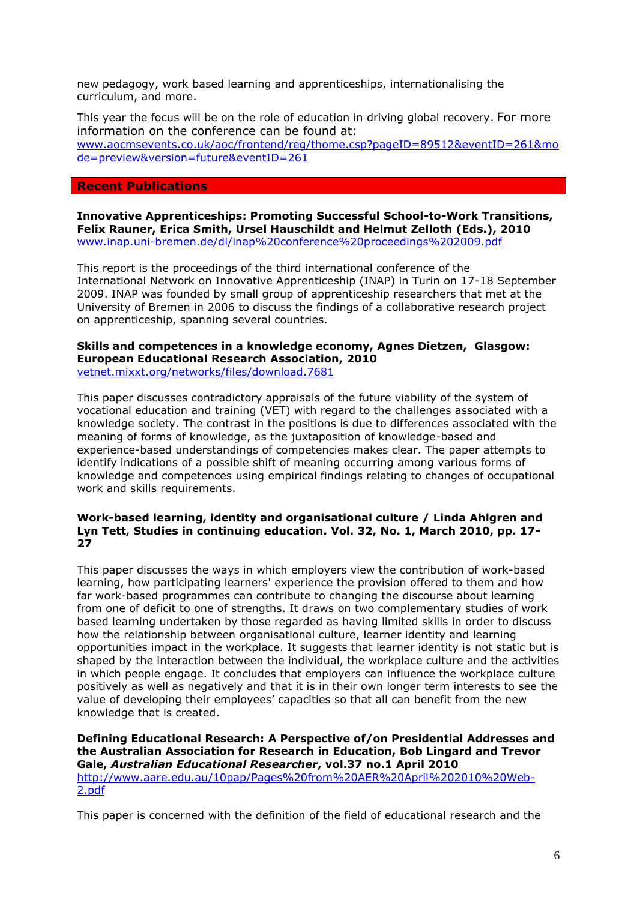new pedagogy, work based learning and apprenticeships, internationalising the curriculum, and more.

This year the focus will be on the role of education in driving global recovery. For more information on the conference can be found at: [www.aocmsevents.co.uk/aoc/frontend/reg/thome.csp?pageID=89512&eventID=261&mo](http://www.aocmsevents.co.uk/aoc/frontend/reg/thome.csp?pageID=89512&eventID=261&mode=preview&version=future&eventID=261) [de=preview&version=future&eventID=261](http://www.aocmsevents.co.uk/aoc/frontend/reg/thome.csp?pageID=89512&eventID=261&mode=preview&version=future&eventID=261)

# **Recent Publications**

**Innovative Apprenticeships: Promoting Successful School-to-Work Transitions, Felix Rauner, Erica Smith, Ursel Hauschildt and Helmut Zelloth (Eds.), 2010** [www.inap.uni-bremen.de/dl/inap%20conference%20proceedings%202009.pdf](http://www.inap.uni-bremen.de/dl/inap%20conference%20proceedings%202009.pdf)

This report is the proceedings of the third international conference of the International Network on Innovative Apprenticeship (INAP) in Turin on 17-18 September 2009. INAP was founded by small group of apprenticeship researchers that met at the University of Bremen in 2006 to discuss the findings of a collaborative research project on apprenticeship, spanning several countries.

#### **Skills and competences in a knowledge economy, Agnes Dietzen, Glasgow: European Educational Research Association, 2010**  [vetnet.mixxt.org/networks/files/download.7681](http://vetnet.mixxt.org/networks/files/download.7681)

This paper discusses contradictory appraisals of the future viability of the system of vocational education and training (VET) with regard to the challenges associated with a knowledge society. The contrast in the positions is due to differences associated with the meaning of forms of knowledge, as the juxtaposition of knowledge-based and experience-based understandings of competencies makes clear. The paper attempts to identify indications of a possible shift of meaning occurring among various forms of knowledge and competences using empirical findings relating to changes of occupational work and skills requirements.

### **Work-based learning, identity and organisational culture / Linda Ahlgren and Lyn Tett, Studies in continuing education. Vol. 32, No. 1, March 2010, pp. 17- 27**

This paper discusses the ways in which employers view the contribution of work-based learning, how participating learners' experience the provision offered to them and how far work-based programmes can contribute to changing the discourse about learning from one of deficit to one of strengths. It draws on two complementary studies of work based learning undertaken by those regarded as having limited skills in order to discuss how the relationship between organisational culture, learner identity and learning opportunities impact in the workplace. It suggests that learner identity is not static but is shaped by the interaction between the individual, the workplace culture and the activities in which people engage. It concludes that employers can influence the workplace culture positively as well as negatively and that it is in their own longer term interests to see the value of developing their employees' capacities so that all can benefit from the new knowledge that is created.

**Defining Educational Research: A Perspective of/on Presidential Addresses and the Australian Association for Research in Education, Bob Lingard and Trevor Gale,** *Australian Educational Researcher***, vol.37 no.1 April 2010** [http://www.aare.edu.au/10pap/Pages%20from%20AER%20April%202010%20Web-](http://www.aare.edu.au/10pap/Pages%20from%20AER%20April%202010%20Web-2.pdf)[2.pdf](http://www.aare.edu.au/10pap/Pages%20from%20AER%20April%202010%20Web-2.pdf)

This paper is concerned with the definition of the field of educational research and the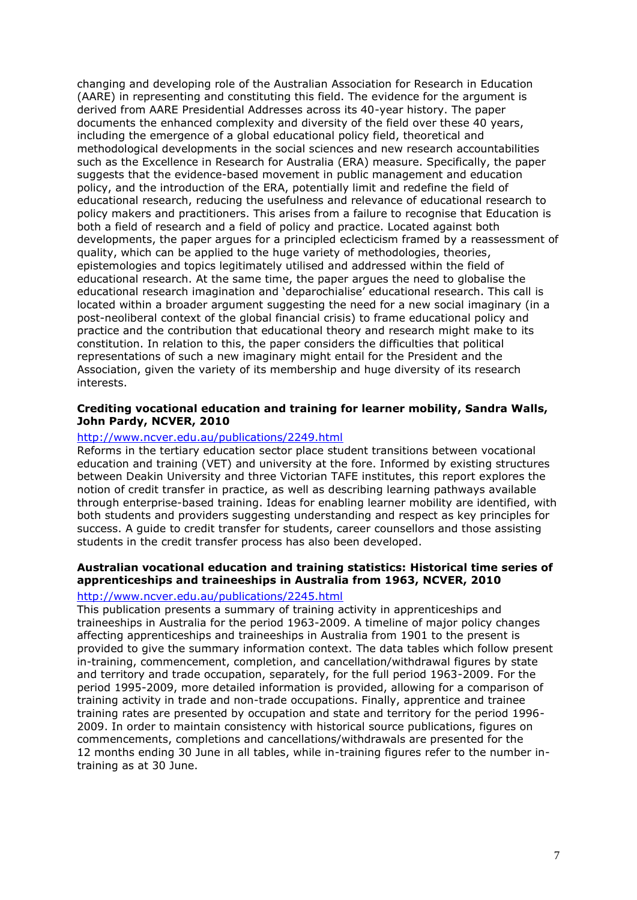changing and developing role of the Australian Association for Research in Education (AARE) in representing and constituting this field. The evidence for the argument is derived from AARE Presidential Addresses across its 40-year history. The paper documents the enhanced complexity and diversity of the field over these 40 years, including the emergence of a global educational policy field, theoretical and methodological developments in the social sciences and new research accountabilities such as the Excellence in Research for Australia (ERA) measure. Specifically, the paper suggests that the evidence-based movement in public management and education policy, and the introduction of the ERA, potentially limit and redefine the field of educational research, reducing the usefulness and relevance of educational research to policy makers and practitioners. This arises from a failure to recognise that Education is both a field of research and a field of policy and practice. Located against both developments, the paper argues for a principled eclecticism framed by a reassessment of quality, which can be applied to the huge variety of methodologies, theories, epistemologies and topics legitimately utilised and addressed within the field of educational research. At the same time, the paper argues the need to globalise the educational research imagination and 'deparochialise' educational research. This call is located within a broader argument suggesting the need for a new social imaginary (in a post-neoliberal context of the global financial crisis) to frame educational policy and practice and the contribution that educational theory and research might make to its constitution. In relation to this, the paper considers the difficulties that political representations of such a new imaginary might entail for the President and the Association, given the variety of its membership and huge diversity of its research interests.

#### **Crediting vocational education and training for learner mobility, Sandra Walls, John Pardy, NCVER, 2010**

### <http://www.ncver.edu.au/publications/2249.html>

Reforms in the tertiary education sector place student transitions between vocational education and training (VET) and university at the fore. Informed by existing structures between Deakin University and three Victorian TAFE institutes, this report explores the notion of credit transfer in practice, as well as describing learning pathways available through enterprise-based training. Ideas for enabling learner mobility are identified, with both students and providers suggesting understanding and respect as key principles for success. A guide to credit transfer for students, career counsellors and those assisting students in the credit transfer process has also been developed.

# **Australian vocational education and training statistics: Historical time series of apprenticeships and traineeships in Australia from 1963, NCVER, 2010**

# <http://www.ncver.edu.au/publications/2245.html>

This publication presents a summary of training activity in apprenticeships and traineeships in Australia for the period 1963-2009. A timeline of major policy changes affecting apprenticeships and traineeships in Australia from 1901 to the present is provided to give the summary information context. The data tables which follow present in-training, commencement, completion, and cancellation/withdrawal figures by state and territory and trade occupation, separately, for the full period 1963-2009. For the period 1995-2009, more detailed information is provided, allowing for a comparison of training activity in trade and non-trade occupations. Finally, apprentice and trainee training rates are presented by occupation and state and territory for the period 1996- 2009. In order to maintain consistency with historical source publications, figures on commencements, completions and cancellations/withdrawals are presented for the 12 months ending 30 June in all tables, while in-training figures refer to the number intraining as at 30 June.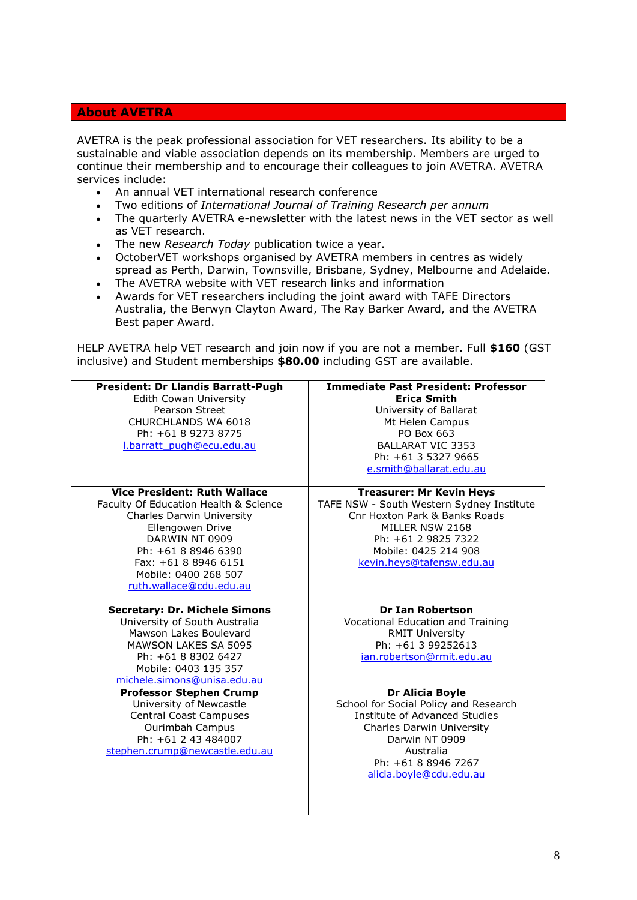# **About AVETRA**

AVETRA is the peak professional association for VET researchers. Its ability to be a sustainable and viable association depends on its membership. Members are urged to continue their membership and to encourage their colleagues to join AVETRA. AVETRA services include:

- An annual VET international research conference
- Two editions of *International Journal of Training Research per annum*
- The quarterly AVETRA e-newsletter with the latest news in the VET sector as well as VET research.
- The new *Research Today* publication twice a year.
- OctoberVET workshops organised by AVETRA members in centres as widely spread as Perth, Darwin, Townsville, Brisbane, Sydney, Melbourne and Adelaide.
- The AVETRA website with VET research links and information
- Awards for VET researchers including the joint award with TAFE Directors Australia, the Berwyn Clayton Award, The Ray Barker Award, and the AVETRA Best paper Award.

HELP AVETRA help VET research and join now if you are not a member. Full **\$160** (GST inclusive) and Student memberships **\$80.00** including GST are available.

| President: Dr Llandis Barratt-Pugh    | <b>Immediate Past President: Professor</b> |
|---------------------------------------|--------------------------------------------|
| <b>Edith Cowan University</b>         | <b>Erica Smith</b>                         |
| Pearson Street                        | University of Ballarat                     |
| CHURCHLANDS WA 6018                   | Mt Helen Campus                            |
| Ph: +61 8 9273 8775                   | PO Box 663                                 |
| I.barratt pugh@ecu.edu.au             | <b>BALLARAT VIC 3353</b>                   |
|                                       |                                            |
|                                       | Ph: +61 3 5327 9665                        |
|                                       | e.smith@ballarat.edu.au                    |
| <b>Vice President: Ruth Wallace</b>   |                                            |
|                                       | <b>Treasurer: Mr Kevin Heys</b>            |
| Faculty Of Education Health & Science | TAFE NSW - South Western Sydney Institute  |
| Charles Darwin University             | Cnr Hoxton Park & Banks Roads              |
| Ellengowen Drive                      | MILLER NSW 2168                            |
| DARWIN NT 0909                        | Ph: +61 2 9825 7322                        |
| Ph: +61 8 8946 6390                   | Mobile: 0425 214 908                       |
| Fax: +61 8 8946 6151                  | kevin.heys@tafensw.edu.au                  |
| Mobile: 0400 268 507                  |                                            |
| ruth.wallace@cdu.edu.au               |                                            |
|                                       |                                            |
| <b>Secretary: Dr. Michele Simons</b>  | <b>Dr Ian Robertson</b>                    |
| University of South Australia         | Vocational Education and Training          |
| Mawson Lakes Boulevard                | <b>RMIT University</b>                     |
| MAWSON LAKES SA 5095                  | Ph: +61 3 99252613                         |
| Ph: +61 8 8302 6427                   | ian.robertson@rmit.edu.au                  |
| Mobile: 0403 135 357                  |                                            |
|                                       |                                            |
| michele.simons@unisa.edu.au           |                                            |
| <b>Professor Stephen Crump</b>        | <b>Dr Alicia Boyle</b>                     |
| University of Newcastle               | School for Social Policy and Research      |
| Central Coast Campuses                | Institute of Advanced Studies              |
| Ourimbah Campus                       | <b>Charles Darwin University</b>           |
| Ph: +61 2 43 484007                   | Darwin NT 0909                             |
| stephen.crump@newcastle.edu.au        | Australia                                  |
|                                       |                                            |
|                                       | Ph: +61 8 8946 7267                        |
|                                       | alicia.boyle@cdu.edu.au                    |
|                                       |                                            |
|                                       |                                            |